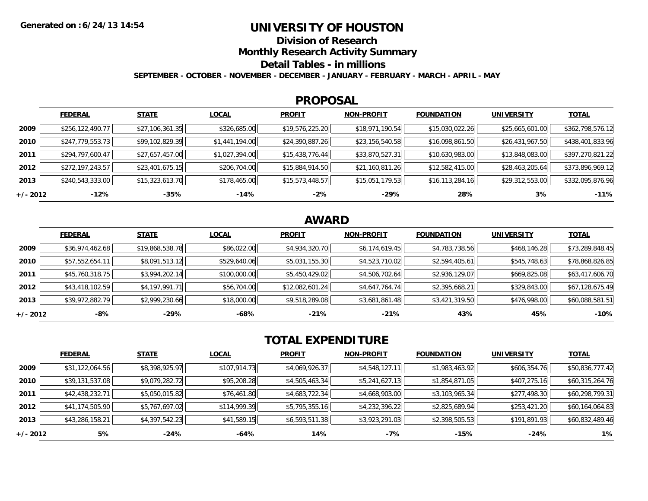### **UNIVERSITY OF HOUSTON**

**Division of Research**

**Monthly Research Activity Summary**

**Detail Tables - in millions**

**SEPTEMBER - OCTOBER - NOVEMBER - DECEMBER - JANUARY - FEBRUARY - MARCH - APRIL - MAY**

#### **PROPOSAL**

|            | <b>FEDERAL</b>     | <b>STATE</b>    | <b>LOCAL</b>   | <b>PROFIT</b>   | <b>NON-PROFIT</b> | <b>FOUNDATION</b> | <b>UNIVERSITY</b> | <u>TOTAL</u>     |
|------------|--------------------|-----------------|----------------|-----------------|-------------------|-------------------|-------------------|------------------|
| 2009       | \$256, 122, 490.77 | \$27,106,361.35 | \$326,685.00   | \$19,576,225.20 | \$18,971,190.54   | \$15,030,022.26   | \$25,665,601.00   | \$362,798,576.12 |
| 2010       | \$247,779,553.73   | \$99,102,829.39 | \$1,441,194.00 | \$24,390,887.26 | \$23,156,540.58   | \$16,098,861.50   | \$26,431,967.50   | \$438,401,833.96 |
| 2011       | \$294,797,600.47   | \$27,657,457.00 | \$1,027,394.00 | \$15,438,776.44 | \$33,870,527.31   | \$10,630,983.00   | \$13,848,083.00   | \$397,270,821.22 |
| 2012       | \$272,197,243.57   | \$23,401,675.15 | \$206,704.00   | \$15,884,914.50 | \$21,160,811.26   | \$12,582,415.00   | \$28,463,205.64   | \$373,896,969.12 |
| 2013       | \$240,543,333.00   | \$15,323,613.70 | \$178,465.00   | \$15,573,448.57 | \$15,051,179.53   | \$16, 113, 284.16 | \$29,312,553.00   | \$332,095,876.96 |
| $+/- 2012$ | $-12%$             | -35%            | $-14%$         | $-2%$           | -29%              | 28%               | 3%                | $-11%$           |

# **AWARD**

|          | <b>FEDERAL</b>  | <b>STATE</b>    | <b>LOCAL</b> | <b>PROFIT</b>   | <b>NON-PROFIT</b> | <b>FOUNDATION</b> | <b>UNIVERSITY</b> | <b>TOTAL</b>    |
|----------|-----------------|-----------------|--------------|-----------------|-------------------|-------------------|-------------------|-----------------|
| 2009     | \$36,974,462.68 | \$19,868,538.78 | \$86,022.00  | \$4,934,320.70  | \$6,174,619.45    | \$4,783,738.56    | \$468,146.28      | \$73,289,848.45 |
| 2010     | \$57,552,654.11 | \$8,091,513.12  | \$529,640.06 | \$5,031,155.30  | \$4,523,710.02    | \$2,594,405.61    | \$545,748.63      | \$78,868,826.85 |
| 2011     | \$45,760,318.75 | \$3,994,202.14  | \$100,000.00 | \$5,450,429.02  | \$4,506,702.64    | \$2,936,129.07    | \$669,825.08      | \$63,417,606.70 |
| 2012     | \$43,418,102.59 | \$4,197,991.71  | \$56,704.00  | \$12,082,601.24 | \$4,647,764.74    | \$2,395,668.21    | \$329,843.00      | \$67,128,675.49 |
| 2013     | \$39,972,882.79 | \$2,999,230.66  | \$18,000.00  | \$9,518,289.08  | \$3,681,861.48    | \$3,421,319.50    | \$476,998.00      | \$60,088,581.51 |
| +/- 2012 | $-8%$           | $-29%$          | -68%         | $-21%$          | $-21%$            | 43%               | 45%               | $-10%$          |

# **TOTAL EXPENDITURE**

|            | <b>FEDERAL</b>  | <b>STATE</b>   | <b>LOCAL</b> | <b>PROFIT</b>  | <b>NON-PROFIT</b> | <b>FOUNDATION</b> | <b>UNIVERSITY</b> | <b>TOTAL</b>    |
|------------|-----------------|----------------|--------------|----------------|-------------------|-------------------|-------------------|-----------------|
| 2009       | \$31,122,064.56 | \$8,398,925.97 | \$107,914.73 | \$4,069,926.37 | \$4,548,127.11    | \$1,983,463.92    | \$606,354.76      | \$50,836,777.42 |
| 2010       | \$39,131,537.08 | \$9,079,282.72 | \$95,208.28  | \$4,505,463.34 | \$5,241,627.13    | \$1,854,871.05    | \$407,275.16      | \$60,315,264.76 |
| 2011       | \$42,438,232.71 | \$5,050,015.82 | \$76,461.80  | \$4,683,722.34 | \$4,668,903.00    | \$3,103,965.34    | \$277,498.30      | \$60,298,799.31 |
| 2012       | \$41,174,505.90 | \$5,767,697.02 | \$114,999.39 | \$5,795,355.16 | \$4,232,396.22    | \$2,825,689.94    | \$253,421.20      | \$60,164,064.83 |
| 2013       | \$43,286,158.21 | \$4,397,542.23 | \$41,589.15  | \$6,593,511.38 | \$3,923,291.03    | \$2,398,505.53    | \$191,891.93      | \$60,832,489.46 |
| $+/- 2012$ | 5%              | $-24%$         | -64%         | 14%            | $-7%$             | $-15%$            | $-24%$            | $1\%$           |